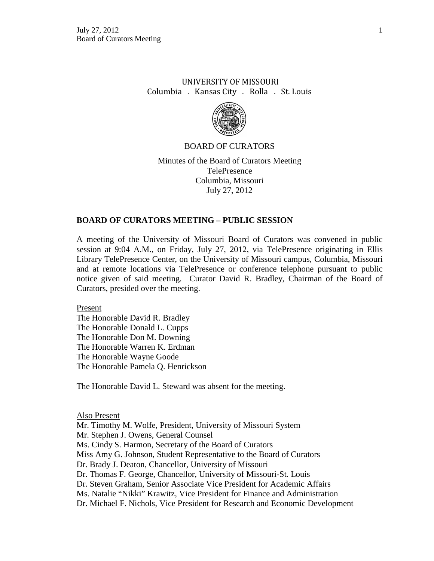# UNIVERSITY OF MISSOURI Columbia . Kansas City . Rolla . St. Louis



### BOARD OF CURATORS

Minutes of the Board of Curators Meeting TelePresence Columbia, Missouri July 27, 2012

### **BOARD OF CURATORS MEETING – PUBLIC SESSION**

A meeting of the University of Missouri Board of Curators was convened in public session at 9:04 A.M., on Friday, July 27, 2012, via TelePresence originating in Ellis Library TelePresence Center, on the University of Missouri campus, Columbia, Missouri and at remote locations via TelePresence or conference telephone pursuant to public notice given of said meeting. Curator David R. Bradley, Chairman of the Board of Curators, presided over the meeting.

Present

The Honorable David R. Bradley The Honorable Donald L. Cupps The Honorable Don M. Downing The Honorable Warren K. Erdman The Honorable Wayne Goode The Honorable Pamela Q. Henrickson

The Honorable David L. Steward was absent for the meeting.

#### Also Present

Mr. Timothy M. Wolfe, President, University of Missouri System Mr. Stephen J. Owens, General Counsel Ms. Cindy S. Harmon, Secretary of the Board of Curators Miss Amy G. Johnson, Student Representative to the Board of Curators Dr. Brady J. Deaton, Chancellor, University of Missouri Dr. Thomas F. George, Chancellor, University of Missouri-St. Louis Dr. Steven Graham, Senior Associate Vice President for Academic Affairs Ms. Natalie "Nikki" Krawitz, Vice President for Finance and Administration Dr. Michael F. Nichols, Vice President for Research and Economic Development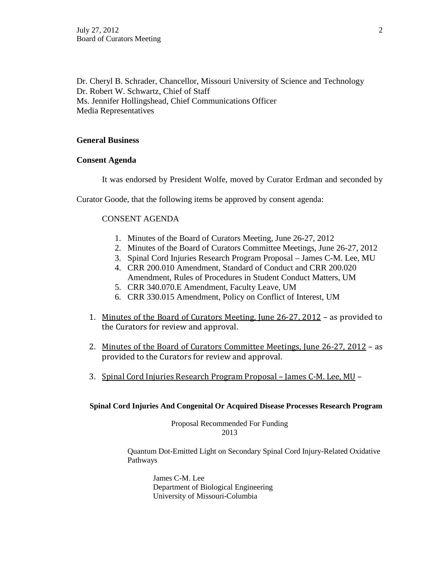Dr. Cheryl B. Schrader, Chancellor, Missouri University of Science and Technology Dr. Robert W. Schwartz, Chief of Staff Ms. Jennifer Hollingshead, Chief Communications Officer Media Representatives

## **General Business**

### **Consent Agenda**

It was endorsed by President Wolfe, moved by Curator Erdman and seconded by

Curator Goode, that the following items be approved by consent agenda:

## CONSENT AGENDA

- 1. Minutes of the Board of Curators Meeting, June 26-27, 2012
- 2. Minutes of the Board of Curators Committee Meetings, June 26-27, 2012
- 3. Spinal Cord Injuries Research Program Proposal James C-M. Lee, MU
- 4. CRR 200.010 Amendment, Standard of Conduct and CRR 200.020 Amendment, Rules of Procedures in Student Conduct Matters, UM
- 5. CRR 340.070.E Amendment, Faculty Leave, UM
- 6. CRR 330.015 Amendment, Policy on Conflict of Interest, UM
- 1. Minutes of the Board of Curators Meeting, June 26-27, 2012 as provided to the Curators for review and approval.
- 2. Minutes of the Board of Curators Committee Meetings, June 26-27, 2012 as provided to the Curators for review and approval.
- 3. Spinal Cord Injuries Research Program Proposal James C-M. Lee, MU –

**Spinal Cord Injuries And Congenital Or Acquired Disease Processes Research Program**

Proposal Recommended For Funding 2013

Quantum Dot-Emitted Light on Secondary Spinal Cord Injury-Related Oxidative Pathways

James C-M. Lee Department of Biological Engineering University of Missouri-Columbia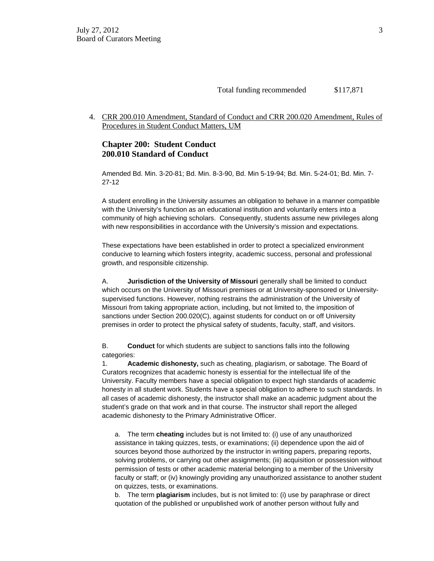4. CRR 200.010 Amendment, Standard of Conduct and CRR 200.020 Amendment, Rules of Procedures in Student Conduct Matters, UM

### **Chapter 200: Student Conduct 200.010 Standard of Conduct**

Amended Bd. Min. 3-20-81; Bd. Min. 8-3-90, Bd. Min 5-19-94; Bd. Min. 5-24-01; Bd. Min. 7- 27-12

A student enrolling in the University assumes an obligation to behave in a manner compatible with the University's function as an educational institution and voluntarily enters into a community of high achieving scholars. Consequently, students assume new privileges along with new responsibilities in accordance with the University's mission and expectations.

These expectations have been established in order to protect a specialized environment conducive to learning which fosters integrity, academic success, personal and professional growth, and responsible citizenship.

A. **Jurisdiction of the University of Missouri** generally shall be limited to conduct which occurs on the University of Missouri premises or at University-sponsored or Universitysupervised functions. However, nothing restrains the administration of the University of Missouri from taking appropriate action, including, but not limited to, the imposition of sanctions under Section 200.020(C), against students for conduct on or off University premises in order to protect the physical safety of students, faculty, staff, and visitors.

B. **Conduct** for which students are subject to sanctions falls into the following categories:

1. **Academic dishonesty,** such as cheating, plagiarism, or sabotage. The Board of Curators recognizes that academic honesty is essential for the intellectual life of the University. Faculty members have a special obligation to expect high standards of academic honesty in all student work. Students have a special obligation to adhere to such standards. In all cases of academic dishonesty, the instructor shall make an academic judgment about the student's grade on that work and in that course. The instructor shall report the alleged academic dishonesty to the Primary Administrative Officer.

a. The term **cheating** includes but is not limited to: (i) use of any unauthorized assistance in taking quizzes, tests, or examinations; (ii) dependence upon the aid of sources beyond those authorized by the instructor in writing papers, preparing reports, solving problems, or carrying out other assignments; (iii) acquisition or possession without permission of tests or other academic material belonging to a member of the University faculty or staff; or (iv) knowingly providing any unauthorized assistance to another student on quizzes, tests, or examinations.

b. The term **plagiarism** includes, but is not limited to: (i) use by paraphrase or direct quotation of the published or unpublished work of another person without fully and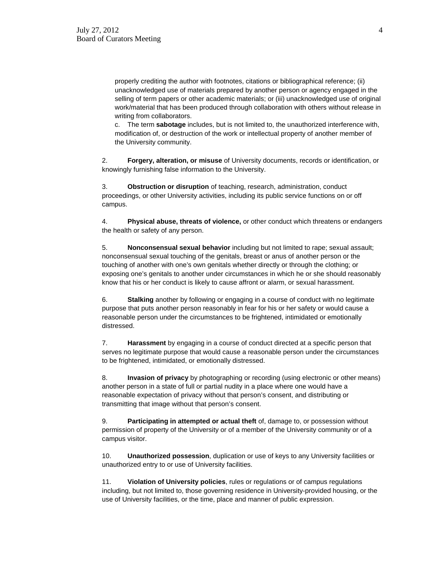properly crediting the author with footnotes, citations or bibliographical reference; (ii) unacknowledged use of materials prepared by another person or agency engaged in the selling of term papers or other academic materials; or (iii) unacknowledged use of original work/material that has been produced through collaboration with others without release in writing from collaborators.

c. The term **sabotage** includes, but is not limited to, the unauthorized interference with, modification of, or destruction of the work or intellectual property of another member of the University community.

2. **Forgery, alteration, or misuse** of University documents, records or identification, or knowingly furnishing false information to the University.

3. **Obstruction or disruption** of teaching, research, administration, conduct proceedings, or other University activities, including its public service functions on or off campus.

4. **Physical abuse, threats of violence,** or other conduct which threatens or endangers the health or safety of any person.

5. **Nonconsensual sexual behavior** including but not limited to rape; sexual assault; nonconsensual sexual touching of the genitals, breast or anus of another person or the touching of another with one's own genitals whether directly or through the clothing; or exposing one's genitals to another under circumstances in which he or she should reasonably know that his or her conduct is likely to cause affront or alarm, or sexual harassment.

6. **Stalking** another by following or engaging in a course of conduct with no legitimate purpose that puts another person reasonably in fear for his or her safety or would cause a reasonable person under the circumstances to be frightened, intimidated or emotionally distressed.

7. **Harassment** by engaging in a course of conduct directed at a specific person that serves no legitimate purpose that would cause a reasonable person under the circumstances to be frightened, intimidated, or emotionally distressed.

8. **Invasion of privacy** by photographing or recording (using electronic or other means) another person in a state of full or partial nudity in a place where one would have a reasonable expectation of privacy without that person's consent, and distributing or transmitting that image without that person's consent.

9. **Participating in attempted or actual theft** of, damage to, or possession without permission of property of the University or of a member of the University community or of a campus visitor.

10. **Unauthorized possession**, duplication or use of keys to any University facilities or unauthorized entry to or use of University facilities.

11. **Violation of University policies**, rules or regulations or of campus regulations including, but not limited to, those governing residence in University-provided housing, or the use of University facilities, or the time, place and manner of public expression.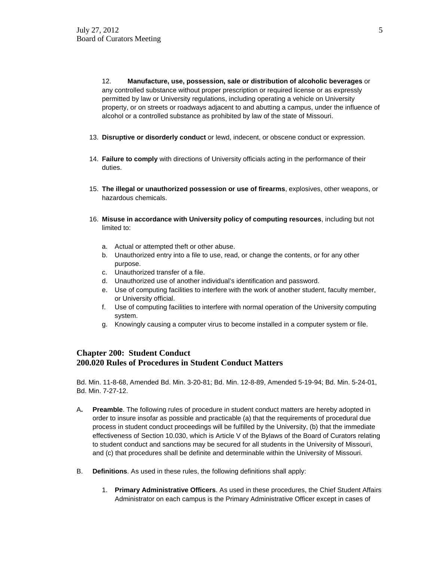12. **Manufacture, use, possession, sale or distribution of alcoholic beverages** or any controlled substance without proper prescription or required license or as expressly permitted by law or University regulations, including operating a vehicle on University property, or on streets or roadways adjacent to and abutting a campus, under the influence of alcohol or a controlled substance as prohibited by law of the state of Missouri.

- 13. **Disruptive or disorderly conduct** or lewd, indecent, or obscene conduct or expression.
- 14. **Failure to comply** with directions of University officials acting in the performance of their duties.
- 15. **The illegal or unauthorized possession or use of firearms**, explosives, other weapons, or hazardous chemicals.
- 16. **Misuse in accordance with University policy of computing resources**, including but not limited to:
	- a. Actual or attempted theft or other abuse.
	- b. Unauthorized entry into a file to use, read, or change the contents, or for any other purpose.
	- c. Unauthorized transfer of a file.
	- d. Unauthorized use of another individual's identification and password.
	- e. Use of computing facilities to interfere with the work of another student, faculty member, or University official.
	- f. Use of computing facilities to interfere with normal operation of the University computing system.
	- g. Knowingly causing a computer virus to become installed in a computer system or file.

### **Chapter 200: Student Conduct 200.020 Rules of Procedures in Student Conduct Matters**

Bd. Min. 11-8-68, Amended Bd. Min. 3-20-81; Bd. Min. 12-8-89, Amended 5-19-94; Bd. Min. 5-24-01, Bd. Min. 7-27-12.

- A**. Preamble**. The following rules of procedure in student conduct matters are hereby adopted in order to insure insofar as possible and practicable (a) that the requirements of procedural due process in student conduct proceedings will be fulfilled by the University, (b) that the immediate effectiveness of Section 10.030, which is Article V of the Bylaws of the Board of Curators relating to student conduct and sanctions may be secured for all students in the University of Missouri, and (c) that procedures shall be definite and determinable within the University of Missouri.
- B. **Definitions**. As used in these rules, the following definitions shall apply:
	- 1. **Primary Administrative Officers**. As used in these procedures, the Chief Student Affairs Administrator on each campus is the Primary Administrative Officer except in cases of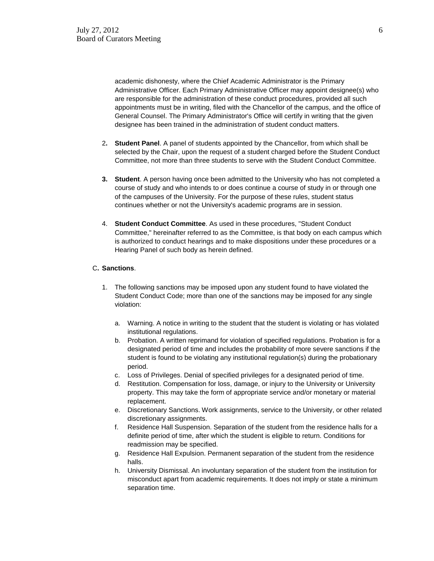academic dishonesty, where the Chief Academic Administrator is the Primary Administrative Officer. Each Primary Administrative Officer may appoint designee(s) who are responsible for the administration of these conduct procedures, provided all such appointments must be in writing, filed with the Chancellor of the campus, and the office of General Counsel. The Primary Administrator's Office will certify in writing that the given designee has been trained in the administration of student conduct matters.

- 2**. Student Panel**. A panel of students appointed by the Chancellor, from which shall be selected by the Chair, upon the request of a student charged before the Student Conduct Committee, not more than three students to serve with the Student Conduct Committee.
- **3. Student**. A person having once been admitted to the University who has not completed a course of study and who intends to or does continue a course of study in or through one of the campuses of the University. For the purpose of these rules, student status continues whether or not the University's academic programs are in session.
- 4. **Student Conduct Committee**. As used in these procedures, "Student Conduct Committee," hereinafter referred to as the Committee, is that body on each campus which is authorized to conduct hearings and to make dispositions under these procedures or a Hearing Panel of such body as herein defined.

#### C**. Sanctions**.

- 1. The following sanctions may be imposed upon any student found to have violated the Student Conduct Code; more than one of the sanctions may be imposed for any single violation:
	- a. Warning. A notice in writing to the student that the student is violating or has violated institutional regulations.
	- b. Probation. A written reprimand for violation of specified regulations. Probation is for a designated period of time and includes the probability of more severe sanctions if the student is found to be violating any institutional regulation(s) during the probationary period.
	- c. Loss of Privileges. Denial of specified privileges for a designated period of time.
	- d. Restitution. Compensation for loss, damage, or injury to the University or University property. This may take the form of appropriate service and/or monetary or material replacement.
	- e. Discretionary Sanctions. Work assignments, service to the University, or other related discretionary assignments.
	- f. Residence Hall Suspension. Separation of the student from the residence halls for a definite period of time, after which the student is eligible to return. Conditions for readmission may be specified.
	- g. Residence Hall Expulsion. Permanent separation of the student from the residence halls.
	- h. University Dismissal. An involuntary separation of the student from the institution for misconduct apart from academic requirements. It does not imply or state a minimum separation time.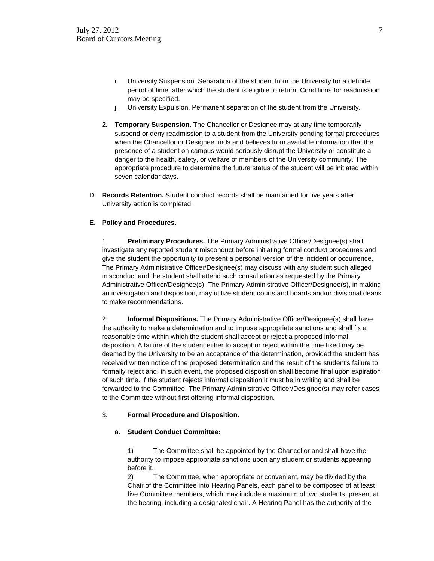- i. University Suspension. Separation of the student from the University for a definite period of time, after which the student is eligible to return. Conditions for readmission may be specified.
- j. University Expulsion. Permanent separation of the student from the University.
- 2**. Temporary Suspension.** The Chancellor or Designee may at any time temporarily suspend or deny readmission to a student from the University pending formal procedures when the Chancellor or Designee finds and believes from available information that the presence of a student on campus would seriously disrupt the University or constitute a danger to the health, safety, or welfare of members of the University community. The appropriate procedure to determine the future status of the student will be initiated within seven calendar days.
- D. **Records Retention.** Student conduct records shall be maintained for five years after University action is completed.

#### E. **Policy and Procedures.**

1. **Preliminary Procedures.** The Primary Administrative Officer/Designee(s) shall investigate any reported student misconduct before initiating formal conduct procedures and give the student the opportunity to present a personal version of the incident or occurrence. The Primary Administrative Officer/Designee(s) may discuss with any student such alleged misconduct and the student shall attend such consultation as requested by the Primary Administrative Officer/Designee(s). The Primary Administrative Officer/Designee(s), in making an investigation and disposition, may utilize student courts and boards and/or divisional deans to make recommendations.

2. **Informal Dispositions.** The Primary Administrative Officer/Designee(s) shall have the authority to make a determination and to impose appropriate sanctions and shall fix a reasonable time within which the student shall accept or reject a proposed informal disposition. A failure of the student either to accept or reject within the time fixed may be deemed by the University to be an acceptance of the determination, provided the student has received written notice of the proposed determination and the result of the student's failure to formally reject and, in such event, the proposed disposition shall become final upon expiration of such time. If the student rejects informal disposition it must be in writing and shall be forwarded to the Committee. The Primary Administrative Officer/Designee(s) may refer cases to the Committee without first offering informal disposition.

#### 3. **Formal Procedure and Disposition.**

#### a. **Student Conduct Committee:**

1) The Committee shall be appointed by the Chancellor and shall have the authority to impose appropriate sanctions upon any student or students appearing before it.

2) The Committee, when appropriate or convenient, may be divided by the Chair of the Committee into Hearing Panels, each panel to be composed of at least five Committee members, which may include a maximum of two students, present at the hearing, including a designated chair. A Hearing Panel has the authority of the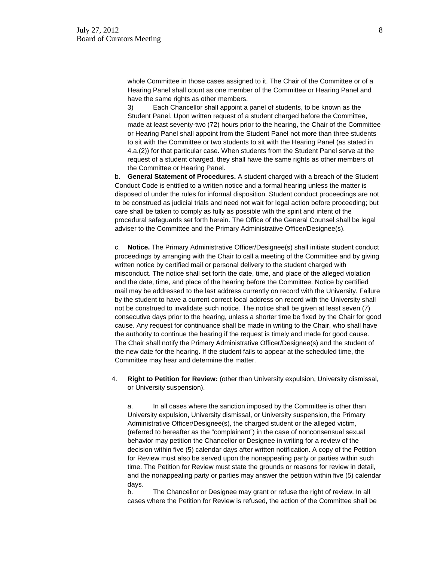whole Committee in those cases assigned to it. The Chair of the Committee or of a Hearing Panel shall count as one member of the Committee or Hearing Panel and have the same rights as other members.

3) Each Chancellor shall appoint a panel of students, to be known as the Student Panel. Upon written request of a student charged before the Committee, made at least seventy-two (72) hours prior to the hearing, the Chair of the Committee or Hearing Panel shall appoint from the Student Panel not more than three students to sit with the Committee or two students to sit with the Hearing Panel (as stated in 4.a.(2)) for that particular case. When students from the Student Panel serve at the request of a student charged, they shall have the same rights as other members of the Committee or Hearing Panel.

b. **General Statement of Procedures.** A student charged with a breach of the Student Conduct Code is entitled to a written notice and a formal hearing unless the matter is disposed of under the rules for informal disposition. Student conduct proceedings are not to be construed as judicial trials and need not wait for legal action before proceeding; but care shall be taken to comply as fully as possible with the spirit and intent of the procedural safeguards set forth herein. The Office of the General Counsel shall be legal adviser to the Committee and the Primary Administrative Officer/Designee(s).

c. **Notice.** The Primary Administrative Officer/Designee(s) shall initiate student conduct proceedings by arranging with the Chair to call a meeting of the Committee and by giving written notice by certified mail or personal delivery to the student charged with misconduct. The notice shall set forth the date, time, and place of the alleged violation and the date, time, and place of the hearing before the Committee. Notice by certified mail may be addressed to the last address currently on record with the University. Failure by the student to have a current correct local address on record with the University shall not be construed to invalidate such notice. The notice shall be given at least seven (7) consecutive days prior to the hearing, unless a shorter time be fixed by the Chair for good cause. Any request for continuance shall be made in writing to the Chair, who shall have the authority to continue the hearing if the request is timely and made for good cause. The Chair shall notify the Primary Administrative Officer/Designee(s) and the student of the new date for the hearing. If the student fails to appear at the scheduled time, the Committee may hear and determine the matter.

4. **Right to Petition for Review:** (other than University expulsion, University dismissal, or University suspension).

a. In all cases where the sanction imposed by the Committee is other than University expulsion, University dismissal, or University suspension, the Primary Administrative Officer/Designee(s), the charged student or the alleged victim, (referred to hereafter as the "complainant") in the case of nonconsensual sexual behavior may petition the Chancellor or Designee in writing for a review of the decision within five (5) calendar days after written notification. A copy of the Petition for Review must also be served upon the nonappealing party or parties within such time. The Petition for Review must state the grounds or reasons for review in detail, and the nonappealing party or parties may answer the petition within five (5) calendar days.

b. The Chancellor or Designee may grant or refuse the right of review. In all cases where the Petition for Review is refused, the action of the Committee shall be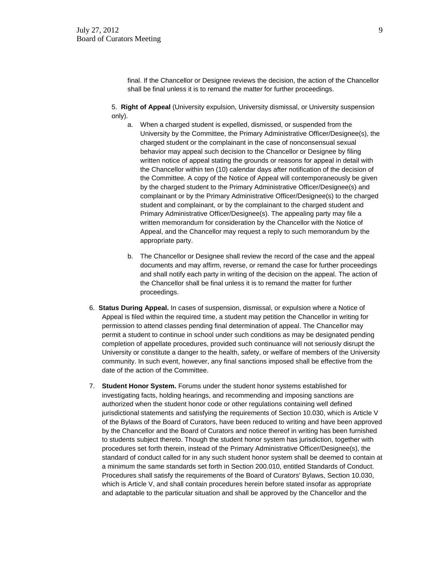final. If the Chancellor or Designee reviews the decision, the action of the Chancellor shall be final unless it is to remand the matter for further proceedings.

5. **Right of Appeal** (University expulsion, University dismissal, or University suspension only).

- a. When a charged student is expelled, dismissed, or suspended from the University by the Committee, the Primary Administrative Officer/Designee(s), the charged student or the complainant in the case of nonconsensual sexual behavior may appeal such decision to the Chancellor or Designee by filing written notice of appeal stating the grounds or reasons for appeal in detail with the Chancellor within ten (10) calendar days after notification of the decision of the Committee. A copy of the Notice of Appeal will contemporaneously be given by the charged student to the Primary Administrative Officer/Designee(s) and complainant or by the Primary Administrative Officer/Designee(s) to the charged student and complainant, or by the complainant to the charged student and Primary Administrative Officer/Designee(s). The appealing party may file a written memorandum for consideration by the Chancellor with the Notice of Appeal, and the Chancellor may request a reply to such memorandum by the appropriate party.
- b. The Chancellor or Designee shall review the record of the case and the appeal documents and may affirm, reverse, or remand the case for further proceedings and shall notify each party in writing of the decision on the appeal. The action of the Chancellor shall be final unless it is to remand the matter for further proceedings.
- 6. **Status During Appeal.** In cases of suspension, dismissal, or expulsion where a Notice of Appeal is filed within the required time, a student may petition the Chancellor in writing for permission to attend classes pending final determination of appeal. The Chancellor may permit a student to continue in school under such conditions as may be designated pending completion of appellate procedures, provided such continuance will not seriously disrupt the University or constitute a danger to the health, safety, or welfare of members of the University community. In such event, however, any final sanctions imposed shall be effective from the date of the action of the Committee.
- 7. **Student Honor System.** Forums under the student honor systems established for investigating facts, holding hearings, and recommending and imposing sanctions are authorized when the student honor code or other regulations containing well defined jurisdictional statements and satisfying the requirements of Section 10.030, which is Article V of the Bylaws of the Board of Curators, have been reduced to writing and have been approved by the Chancellor and the Board of Curators and notice thereof in writing has been furnished to students subject thereto. Though the student honor system has jurisdiction, together with procedures set forth therein, instead of the Primary Administrative Officer/Designee(s), the standard of conduct called for in any such student honor system shall be deemed to contain at a minimum the same standards set forth in Section 200.010, entitled Standards of Conduct. Procedures shall satisfy the requirements of the Board of Curators' Bylaws, Section 10.030, which is Article V, and shall contain procedures herein before stated insofar as appropriate and adaptable to the particular situation and shall be approved by the Chancellor and the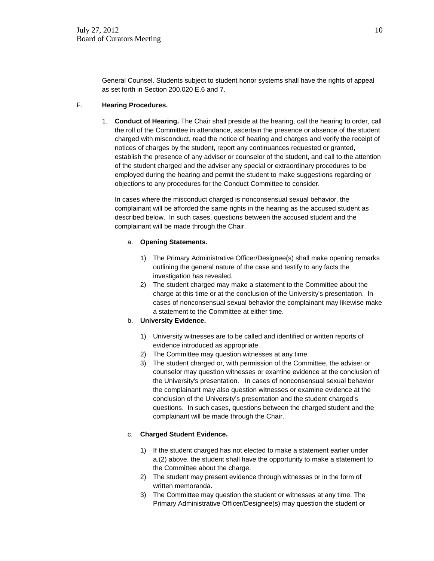General Counsel. Students subject to student honor systems shall have the rights of appeal as set forth in Section 200.020 E.6 and 7.

#### F. **Hearing Procedures.**

1. **Conduct of Hearing.** The Chair shall preside at the hearing, call the hearing to order, call the roll of the Committee in attendance, ascertain the presence or absence of the student charged with misconduct, read the notice of hearing and charges and verify the receipt of notices of charges by the student, report any continuances requested or granted, establish the presence of any adviser or counselor of the student, and call to the attention of the student charged and the adviser any special or extraordinary procedures to be employed during the hearing and permit the student to make suggestions regarding or objections to any procedures for the Conduct Committee to consider.

In cases where the misconduct charged is nonconsensual sexual behavior, the complainant will be afforded the same rights in the hearing as the accused student as described below. In such cases, questions between the accused student and the complainant will be made through the Chair.

#### a. **Opening Statements.**

- 1) The Primary Administrative Officer/Designee(s) shall make opening remarks outlining the general nature of the case and testify to any facts the investigation has revealed.
- 2) The student charged may make a statement to the Committee about the charge at this time or at the conclusion of the University's presentation. In cases of nonconsensual sexual behavior the complainant may likewise make a statement to the Committee at either time.
- b. **University Evidence.**
	- 1) University witnesses are to be called and identified or written reports of evidence introduced as appropriate.
	- 2) The Committee may question witnesses at any time.
	- 3) The student charged or, with permission of the Committee, the adviser or counselor may question witnesses or examine evidence at the conclusion of the University's presentation. In cases of nonconsensual sexual behavior the complainant may also question witnesses or examine evidence at the conclusion of the University's presentation and the student charged's questions. In such cases, questions between the charged student and the complainant will be made through the Chair.

#### c. **Charged Student Evidence.**

- 1) If the student charged has not elected to make a statement earlier under a.(2) above, the student shall have the opportunity to make a statement to the Committee about the charge.
- 2) The student may present evidence through witnesses or in the form of written memoranda.
- 3) The Committee may question the student or witnesses at any time. The Primary Administrative Officer/Designee(s) may question the student or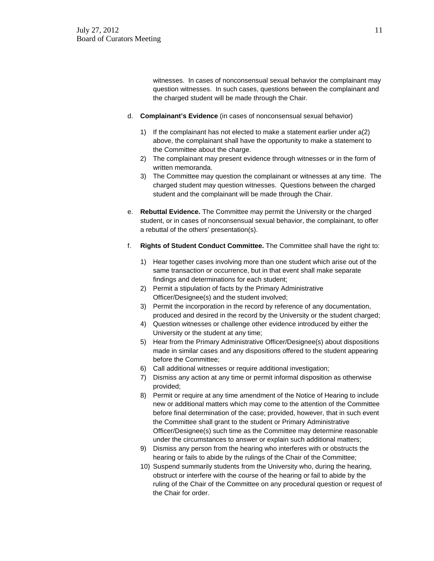witnesses. In cases of nonconsensual sexual behavior the complainant may question witnesses. In such cases, questions between the complainant and the charged student will be made through the Chair.

- d. **Complainant's Evidence** (in cases of nonconsensual sexual behavior)
	- 1) If the complainant has not elected to make a statement earlier under a(2) above, the complainant shall have the opportunity to make a statement to the Committee about the charge.
	- 2) The complainant may present evidence through witnesses or in the form of written memoranda.
	- 3) The Committee may question the complainant or witnesses at any time. The charged student may question witnesses. Questions between the charged student and the complainant will be made through the Chair.
- e. **Rebuttal Evidence.** The Committee may permit the University or the charged student, or in cases of nonconsensual sexual behavior, the complainant, to offer a rebuttal of the others' presentation(s).
- f. **Rights of Student Conduct Committee.** The Committee shall have the right to:
	- 1) Hear together cases involving more than one student which arise out of the same transaction or occurrence, but in that event shall make separate findings and determinations for each student;
	- 2) Permit a stipulation of facts by the Primary Administrative Officer/Designee(s) and the student involved;
	- 3) Permit the incorporation in the record by reference of any documentation, produced and desired in the record by the University or the student charged;
	- 4) Question witnesses or challenge other evidence introduced by either the University or the student at any time;
	- 5) Hear from the Primary Administrative Officer/Designee(s) about dispositions made in similar cases and any dispositions offered to the student appearing before the Committee;
	- 6) Call additional witnesses or require additional investigation;
	- 7) Dismiss any action at any time or permit informal disposition as otherwise provided;
	- 8) Permit or require at any time amendment of the Notice of Hearing to include new or additional matters which may come to the attention of the Committee before final determination of the case; provided, however, that in such event the Committee shall grant to the student or Primary Administrative Officer/Designee(s) such time as the Committee may determine reasonable under the circumstances to answer or explain such additional matters;
	- 9) Dismiss any person from the hearing who interferes with or obstructs the hearing or fails to abide by the rulings of the Chair of the Committee;
	- 10) Suspend summarily students from the University who, during the hearing, obstruct or interfere with the course of the hearing or fail to abide by the ruling of the Chair of the Committee on any procedural question or request of the Chair for order.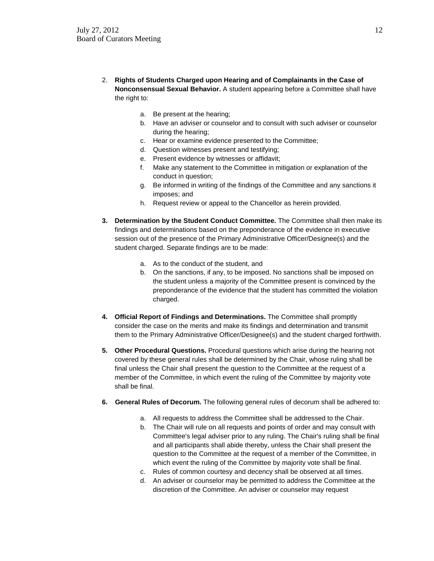- 2. **Rights of Students Charged upon Hearing and of Complainants in the Case of Nonconsensual Sexual Behavior.** A student appearing before a Committee shall have the right to:
	- a. Be present at the hearing;
	- b. Have an adviser or counselor and to consult with such adviser or counselor during the hearing;
	- c. Hear or examine evidence presented to the Committee;
	- d. Question witnesses present and testifying;
	- e. Present evidence by witnesses or affidavit;
	- f. Make any statement to the Committee in mitigation or explanation of the conduct in question;
	- g. Be informed in writing of the findings of the Committee and any sanctions it imposes; and
	- h. Request review or appeal to the Chancellor as herein provided.
- **3. Determination by the Student Conduct Committee.** The Committee shall then make its findings and determinations based on the preponderance of the evidence in executive session out of the presence of the Primary Administrative Officer/Designee(s) and the student charged. Separate findings are to be made:
	- a. As to the conduct of the student, and
	- b. On the sanctions, if any, to be imposed. No sanctions shall be imposed on the student unless a majority of the Committee present is convinced by the preponderance of the evidence that the student has committed the violation charged.
- **4. Official Report of Findings and Determinations.** The Committee shall promptly consider the case on the merits and make its findings and determination and transmit them to the Primary Administrative Officer/Designee(s) and the student charged forthwith.
- **5. Other Procedural Questions.** Procedural questions which arise during the hearing not covered by these general rules shall be determined by the Chair, whose ruling shall be final unless the Chair shall present the question to the Committee at the request of a member of the Committee, in which event the ruling of the Committee by majority vote shall be final.
- **6. General Rules of Decorum.** The following general rules of decorum shall be adhered to:
	- a. All requests to address the Committee shall be addressed to the Chair.
	- b. The Chair will rule on all requests and points of order and may consult with Committee's legal adviser prior to any ruling. The Chair's ruling shall be final and all participants shall abide thereby, unless the Chair shall present the question to the Committee at the request of a member of the Committee, in which event the ruling of the Committee by majority vote shall be final.
	- c. Rules of common courtesy and decency shall be observed at all times.
	- d. An adviser or counselor may be permitted to address the Committee at the discretion of the Committee. An adviser or counselor may request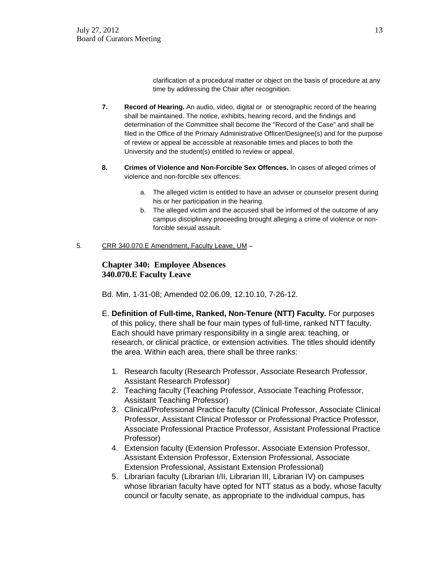clarification of a procedural matter or object on the basis of procedure at any time by addressing the Chair after recognition.

- **7. Record of Hearing.** An audio, video, digital or or stenographic record of the hearing shall be maintained. The notice, exhibits, hearing record, and the findings and determination of the Committee shall become the "Record of the Case" and shall be filed in the Office of the Primary Administrative Officer/Designee(s) and for the purpose of review or appeal be accessible at reasonable times and places to both the University and the student(s) entitled to review or appeal.
- **8. Crimes of Violence and Non-Forcible Sex Offences.** In cases of alleged crimes of violence and non-forcible sex offences:
	- a. The alleged victim is entitled to have an adviser or counselor present during his or her participation in the hearing.
	- b. The alleged victim and the accused shall be informed of the outcome of any campus disciplinary proceeding brought alleging a crime of violence or nonforcible sexual assault.
- 5. CRR 340.070.E Amendment, Faculty Leave, UM –

## **Chapter 340: Employee Absences 340.070.E Faculty Leave**

Bd. Min. 1-31-08; Amended 02.06.09, 12.10.10, 7-26-12.

- E. **Definition of Full-time, Ranked, Non-Tenure (NTT) Faculty.** For purposes of this policy, there shall be four main types of full-time, ranked NTT faculty. Each should have primary responsibility in a single area: teaching, or research, or clinical practice, or extension activities. The titles should identify the area. Within each area, there shall be three ranks:
	- 1. Research faculty (Research Professor, Associate Research Professor, Assistant Research Professor)
	- 2. Teaching faculty (Teaching Professor, Associate Teaching Professor, Assistant Teaching Professor)
	- 3. Clinical/Professional Practice faculty (Clinical Professor, Associate Clinical Professor, Assistant Clinical Professor or Professional Practice Professor, Associate Professional Practice Professor, Assistant Professional Practice Professor)
	- 4. Extension faculty (Extension Professor, Associate Extension Professor, Assistant Extension Professor, Extension Professional, Associate Extension Professional, Assistant Extension Professional)
	- 5. Librarian faculty (Librarian I/II, Librarian III, Librarian IV) on campuses whose librarian faculty have opted for NTT status as a body, whose faculty council or faculty senate, as appropriate to the individual campus, has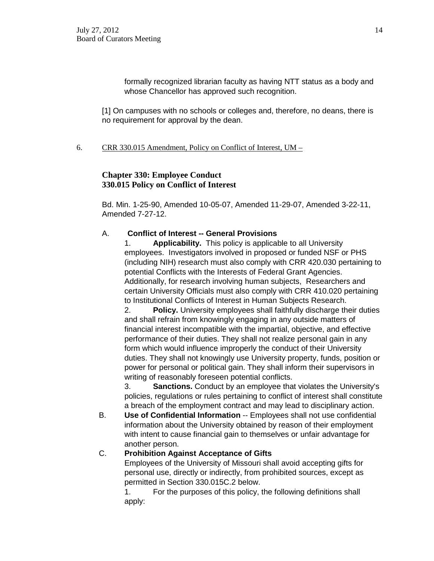formally recognized librarian faculty as having NTT status as a body and whose Chancellor has approved such recognition.

[1] On campuses with no schools or colleges and, therefore, no deans, there is no requirement for approval by the dean.

## 6. CRR 330.015 Amendment, Policy on Conflict of Interest,  $UM -$

# **Chapter 330: Employee Conduct 330.015 Policy on Conflict of Interest**

Bd. Min. 1-25-90, Amended 10-05-07, Amended 11-29-07, Amended 3-22-11, Amended 7-27-12.

# A. **Conflict of Interest -- General Provisions**

1. **Applicability.** This policy is applicable to all University employees. Investigators involved in proposed or funded NSF or PHS (including NIH) research must also comply with CRR 420.030 pertaining to potential Conflicts with the Interests of Federal Grant Agencies. Additionally, for research involving human subjects, Researchers and certain University Officials must also comply with CRR 410.020 pertaining to Institutional Conflicts of Interest in Human Subjects Research.

2. **Policy.** University employees shall faithfully discharge their duties and shall refrain from knowingly engaging in any outside matters of financial interest incompatible with the impartial, objective, and effective performance of their duties. They shall not realize personal gain in any form which would influence improperly the conduct of their University duties. They shall not knowingly use University property, funds, position or power for personal or political gain. They shall inform their supervisors in writing of reasonably foreseen potential conflicts.

3. **Sanctions.** Conduct by an employee that violates the University's policies, regulations or rules pertaining to conflict of interest shall constitute a breach of the employment contract and may lead to disciplinary action.

B. **Use of Confidential Information** -- Employees shall not use confidential information about the University obtained by reason of their employment with intent to cause financial gain to themselves or unfair advantage for another person.

## C. **Prohibition Against Acceptance of Gifts**

Employees of the University of Missouri shall avoid accepting gifts for personal use, directly or indirectly, from prohibited sources, except as permitted in Section 330.015C.2 below.

1. For the purposes of this policy, the following definitions shall apply: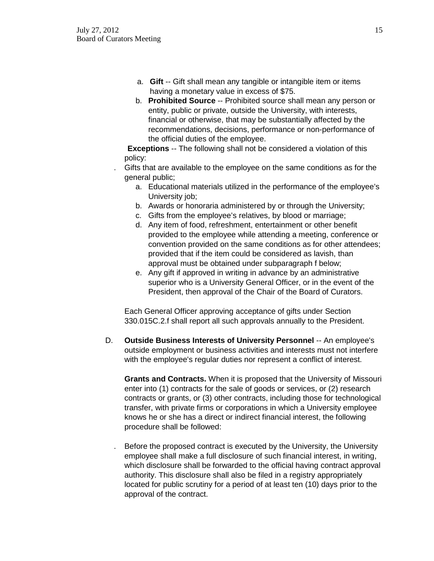- a. **Gift** -- Gift shall mean any tangible or intangible item or items having a monetary value in excess of \$75.
- b. **Prohibited Source** -- Prohibited source shall mean any person or entity, public or private, outside the University, with interests, financial or otherwise, that may be substantially affected by the recommendations, decisions, performance or non-performance of the official duties of the employee.

**Exceptions** -- The following shall not be considered a violation of this policy:

- . Gifts that are available to the employee on the same conditions as for the general public;
	- a. Educational materials utilized in the performance of the employee's University job;
	- b. Awards or honoraria administered by or through the University;
	- c. Gifts from the employee's relatives, by blood or marriage;
	- d. Any item of food, refreshment, entertainment or other benefit provided to the employee while attending a meeting, conference or convention provided on the same conditions as for other attendees; provided that if the item could be considered as lavish, than approval must be obtained under subparagraph f below;
	- e. Any gift if approved in writing in advance by an administrative superior who is a University General Officer, or in the event of the President, then approval of the Chair of the Board of Curators.

Each General Officer approving acceptance of gifts under Section 330.015C.2.f shall report all such approvals annually to the President.

D. **Outside Business Interests of University Personnel** -- An employee's outside employment or business activities and interests must not interfere with the employee's regular duties nor represent a conflict of interest.

**Grants and Contracts.** When it is proposed that the University of Missouri enter into (1) contracts for the sale of goods or services, or (2) research contracts or grants, or (3) other contracts, including those for technological transfer, with private firms or corporations in which a University employee knows he or she has a direct or indirect financial interest, the following procedure shall be followed:

. Before the proposed contract is executed by the University, the University employee shall make a full disclosure of such financial interest, in writing, which disclosure shall be forwarded to the official having contract approval authority. This disclosure shall also be filed in a registry appropriately located for public scrutiny for a period of at least ten (10) days prior to the approval of the contract.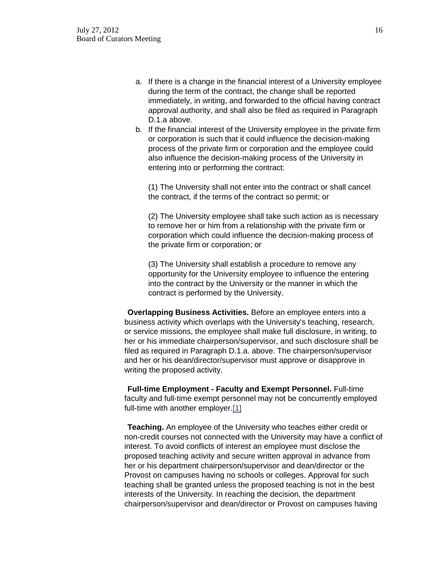- a. If there is a change in the financial interest of a University employee during the term of the contract, the change shall be reported immediately, in writing, and forwarded to the official having contract approval authority, and shall also be filed as required in Paragraph D.1.a above.
- b. If the financial interest of the University employee in the private firm or corporation is such that it could influence the decision-making process of the private firm or corporation and the employee could also influence the decision-making process of the University in entering into or performing the contract:

(1) The University shall not enter into the contract or shall cancel the contract, if the terms of the contract so permit; or

(2) The University employee shall take such action as is necessary to remove her or him from a relationship with the private firm or corporation which could influence the decision-making process of the private firm or corporation; or

(3) The University shall establish a procedure to remove any opportunity for the University employee to influence the entering into the contract by the University or the manner in which the contract is performed by the University.

**Overlapping Business Activities.** Before an employee enters into a business activity which overlaps with the University's teaching, research, or service missions, the employee shall make full disclosure, in writing, to her or his immediate chairperson/supervisor, and such disclosure shall be filed as required in Paragraph D.1.a. above. The chairperson/supervisor and her or his dean/director/supervisor must approve or disapprove in writing the proposed activity.

**Full-time Employment - Faculty and Exempt Personnel.** Full-time faculty and full-time exempt personnel may not be concurrently employed full-time with another employer[.\[1\]](http://www.umsystem.edu/ums/departments/gc/rules/personnel/330/015.shtml#1)

**Teaching.** An employee of the University who teaches either credit or non-credit courses not connected with the University may have a conflict of interest. To avoid conflicts of interest an employee must disclose the proposed teaching activity and secure written approval in advance from her or his department chairperson/supervisor and dean/director or the Provost on campuses having no schools or colleges. Approval for such teaching shall be granted unless the proposed teaching is not in the best interests of the University. In reaching the decision, the department chairperson/supervisor and dean/director or Provost on campuses having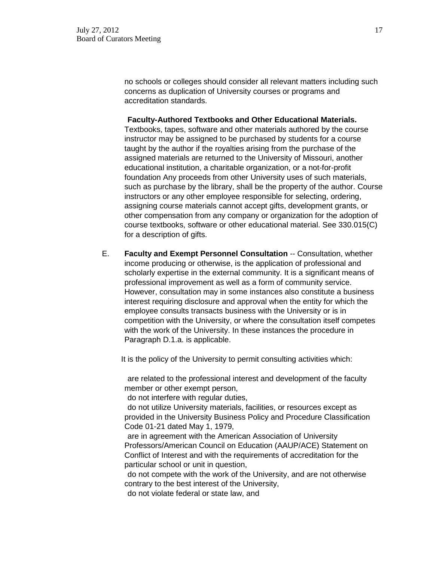no schools or colleges should consider all relevant matters including such concerns as duplication of University courses or programs and accreditation standards.

#### **Faculty-Authored Textbooks and Other Educational Materials.**

Textbooks, tapes, software and other materials authored by the course instructor may be assigned to be purchased by students for a course taught by the author if the royalties arising from the purchase of the assigned materials are returned to the University of Missouri, another educational institution, a charitable organization, or a not-for-profit foundation Any proceeds from other University uses of such materials, such as purchase by the library, shall be the property of the author. Course instructors or any other employee responsible for selecting, ordering, assigning course materials cannot accept gifts, development grants, or other compensation from any company or organization for the adoption of course textbooks, software or other educational material. See 330.015(C) for a description of gifts.

E. **Faculty and Exempt Personnel Consultation** -- Consultation, whether income producing or otherwise, is the application of professional and scholarly expertise in the external community. It is a significant means of professional improvement as well as a form of community service. However, consultation may in some instances also constitute a business interest requiring disclosure and approval when the entity for which the employee consults transacts business with the University or is in competition with the University, or where the consultation itself competes with the work of the University. In these instances the procedure in Paragraph D.1.a. is applicable.

It is the policy of the University to permit consulting activities which:

are related to the professional interest and development of the faculty member or other exempt person,

do not interfere with regular duties,

do not utilize University materials, facilities, or resources except as provided in the University Business Policy and Procedure Classification Code 01-21 dated May 1, 1979,

are in agreement with the American Association of University Professors/American Council on Education (AAUP/ACE) Statement on Conflict of Interest and with the requirements of accreditation for the particular school or unit in question,

do not compete with the work of the University, and are not otherwise contrary to the best interest of the University,

do not violate federal or state law, and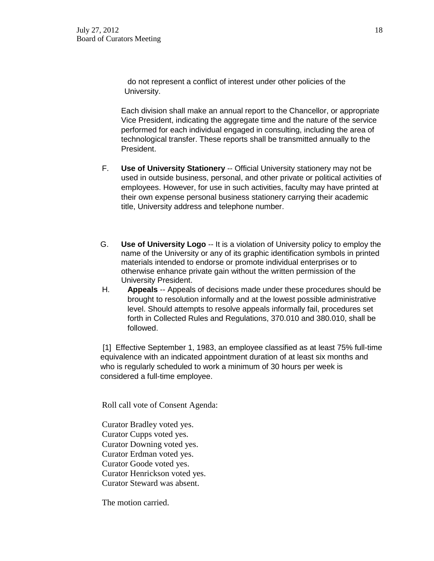do not represent a conflict of interest under other policies of the University.

Each division shall make an annual report to the Chancellor, or appropriate Vice President, indicating the aggregate time and the nature of the service performed for each individual engaged in consulting, including the area of technological transfer. These reports shall be transmitted annually to the President.

- F. **Use of University Stationery** -- Official University stationery may not be used in outside business, personal, and other private or political activities of employees. However, for use in such activities, faculty may have printed at their own expense personal business stationery carrying their academic title, University address and telephone number.
- G. **Use of University Logo** -- It is a violation of University policy to employ the name of the University or any of its graphic identification symbols in printed materials intended to endorse or promote individual enterprises or to otherwise enhance private gain without the written permission of the University President.
- H. **Appeals** -- Appeals of decisions made under these procedures should be brought to resolution informally and at the lowest possible administrative level. Should attempts to resolve appeals informally fail, procedures set forth in Collected Rules and Regulations, 370.010 and 380.010, shall be followed.

[1] Effective September 1, 1983, an employee classified as at least 75% full-time equivalence with an indicated appointment duration of at least six months and who is regularly scheduled to work a minimum of 30 hours per week is considered a full-time employee.

Roll call vote of Consent Agenda:

Curator Bradley voted yes. Curator Cupps voted yes. Curator Downing voted yes. Curator Erdman voted yes. Curator Goode voted yes. Curator Henrickson voted yes. Curator Steward was absent.

The motion carried.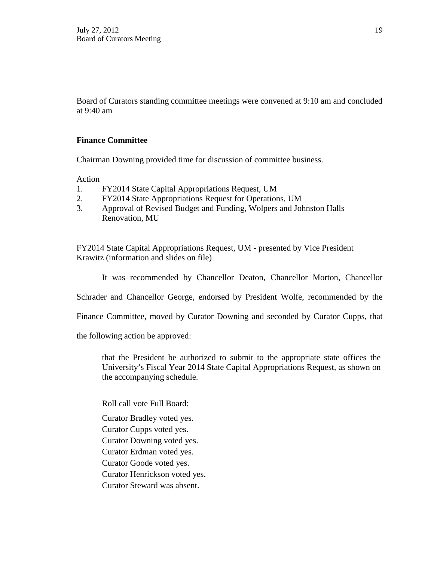Board of Curators standing committee meetings were convened at 9:10 am and concluded at 9:40 am

# **Finance Committee**

Chairman Downing provided time for discussion of committee business.

Action

- 1. FY2014 State Capital Appropriations Request, UM
- 2. FY2014 State Appropriations Request for Operations, UM
- 3. Approval of Revised Budget and Funding, Wolpers and Johnston Halls Renovation, MU

FY2014 State Capital Appropriations Request, UM - presented by Vice President Krawitz (information and slides on file)

It was recommended by Chancellor Deaton, Chancellor Morton, Chancellor

Schrader and Chancellor George, endorsed by President Wolfe, recommended by the

Finance Committee, moved by Curator Downing and seconded by Curator Cupps, that

the following action be approved:

that the President be authorized to submit to the appropriate state offices the University's Fiscal Year 2014 State Capital Appropriations Request, as shown on the accompanying schedule.

Roll call vote Full Board:

Curator Bradley voted yes.

Curator Cupps voted yes.

Curator Downing voted yes.

Curator Erdman voted yes.

Curator Goode voted yes.

Curator Henrickson voted yes.

Curator Steward was absent.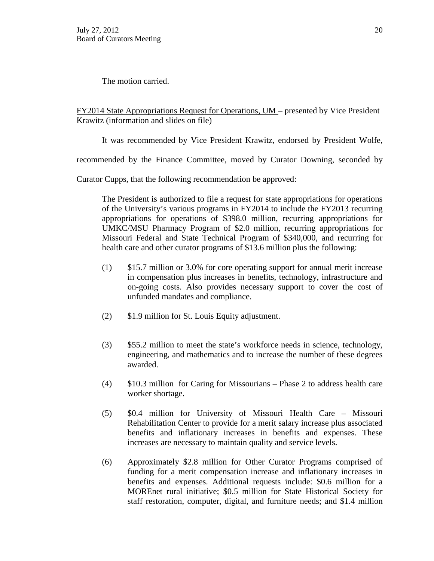The motion carried.

FY2014 State Appropriations Request for Operations, UM – presented by Vice President Krawitz (information and slides on file)

It was recommended by Vice President Krawitz, endorsed by President Wolfe,

recommended by the Finance Committee, moved by Curator Downing, seconded by

Curator Cupps, that the following recommendation be approved:

The President is authorized to file a request for state appropriations for operations of the University's various programs in FY2014 to include the FY2013 recurring appropriations for operations of \$398.0 million, recurring appropriations for UMKC/MSU Pharmacy Program of \$2.0 million, recurring appropriations for Missouri Federal and State Technical Program of \$340,000, and recurring for health care and other curator programs of \$13.6 million plus the following:

- (1) \$15.7 million or 3.0% for core operating support for annual merit increase in compensation plus increases in benefits, technology, infrastructure and on-going costs. Also provides necessary support to cover the cost of unfunded mandates and compliance.
- (2) \$1.9 million for St. Louis Equity adjustment.
- (3) \$55.2 million to meet the state's workforce needs in science, technology, engineering, and mathematics and to increase the number of these degrees awarded.
- (4) \$10.3 million for Caring for Missourians Phase 2 to address health care worker shortage.
- (5) \$0.4 million for University of Missouri Health Care Missouri Rehabilitation Center to provide for a merit salary increase plus associated benefits and inflationary increases in benefits and expenses. These increases are necessary to maintain quality and service levels.
- (6) Approximately \$2.8 million for Other Curator Programs comprised of funding for a merit compensation increase and inflationary increases in benefits and expenses. Additional requests include: \$0.6 million for a MOREnet rural initiative; \$0.5 million for State Historical Society for staff restoration, computer, digital, and furniture needs; and \$1.4 million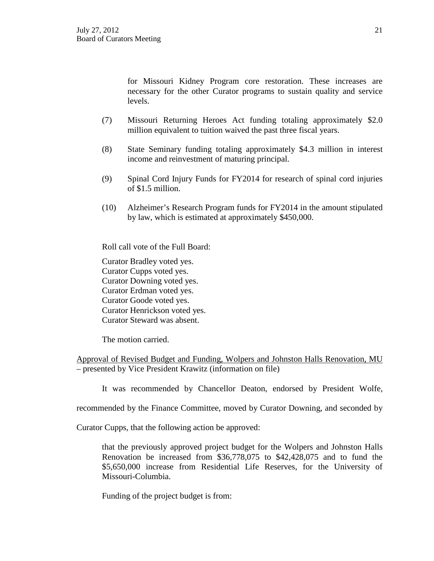for Missouri Kidney Program core restoration. These increases are necessary for the other Curator programs to sustain quality and service levels.

- (7) Missouri Returning Heroes Act funding totaling approximately \$2.0 million equivalent to tuition waived the past three fiscal years.
- (8) State Seminary funding totaling approximately \$4.3 million in interest income and reinvestment of maturing principal.
- (9) Spinal Cord Injury Funds for FY2014 for research of spinal cord injuries of \$1.5 million.
- (10) Alzheimer's Research Program funds for FY2014 in the amount stipulated by law, which is estimated at approximately \$450,000.

Roll call vote of the Full Board:

Curator Bradley voted yes. Curator Cupps voted yes. Curator Downing voted yes. Curator Erdman voted yes. Curator Goode voted yes. Curator Henrickson voted yes. Curator Steward was absent.

The motion carried.

Approval of Revised Budget and Funding, Wolpers and Johnston Halls Renovation, MU – presented by Vice President Krawitz (information on file)

It was recommended by Chancellor Deaton, endorsed by President Wolfe,

recommended by the Finance Committee, moved by Curator Downing, and seconded by

Curator Cupps, that the following action be approved:

that the previously approved project budget for the Wolpers and Johnston Halls Renovation be increased from \$36,778,075 to \$42,428,075 and to fund the \$5,650,000 increase from Residential Life Reserves, for the University of Missouri-Columbia.

Funding of the project budget is from: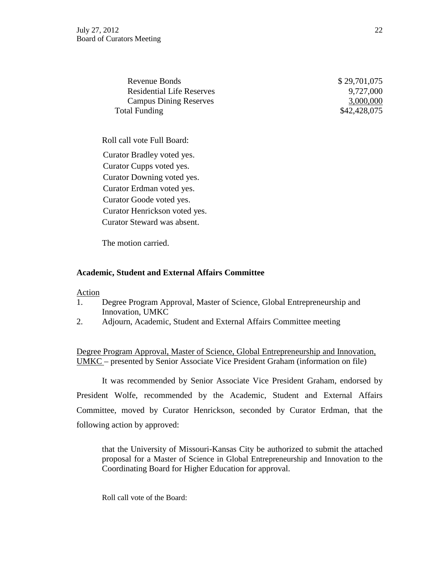Revenue Bonds \$ 29,701,075 Residential Life Reserves 9,727,000 Campus Dining Reserves 3,000,000 Total Funding \$42,428,075

Roll call vote Full Board:

Curator Bradley voted yes. Curator Cupps voted yes. Curator Downing voted yes. Curator Erdman voted yes. Curator Goode voted yes. Curator Henrickson voted yes. Curator Steward was absent.

The motion carried.

### **Academic, Student and External Affairs Committee**

### Action

- 1. Degree Program Approval, Master of Science, Global Entrepreneurship and Innovation, UMKC
- 2. Adjourn, Academic, Student and External Affairs Committee meeting

Degree Program Approval, Master of Science, Global Entrepreneurship and Innovation, UMKC – presented by Senior Associate Vice President Graham (information on file)

It was recommended by Senior Associate Vice President Graham, endorsed by President Wolfe, recommended by the Academic, Student and External Affairs Committee, moved by Curator Henrickson, seconded by Curator Erdman, that the following action by approved:

that the University of Missouri-Kansas City be authorized to submit the attached proposal for a Master of Science in Global Entrepreneurship and Innovation to the Coordinating Board for Higher Education for approval.

Roll call vote of the Board: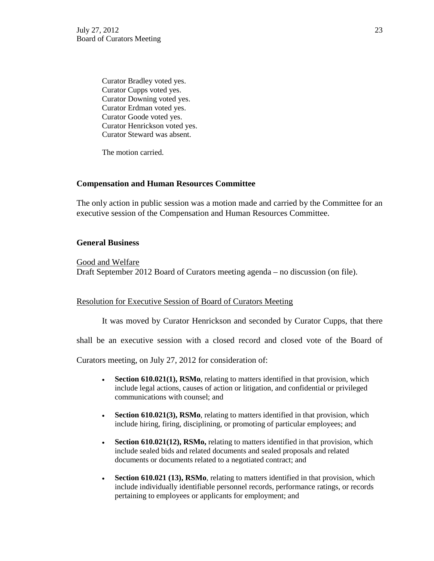Curator Bradley voted yes. Curator Cupps voted yes. Curator Downing voted yes. Curator Erdman voted yes. Curator Goode voted yes. Curator Henrickson voted yes. Curator Steward was absent.

The motion carried.

### **Compensation and Human Resources Committee**

The only action in public session was a motion made and carried by the Committee for an executive session of the Compensation and Human Resources Committee.

### **General Business**

Good and Welfare Draft September 2012 Board of Curators meeting agenda – no discussion (on file).

### Resolution for Executive Session of Board of Curators Meeting

It was moved by Curator Henrickson and seconded by Curator Cupps, that there

shall be an executive session with a closed record and closed vote of the Board of

Curators meeting, on July 27, 2012 for consideration of:

- **Section 610.021(1), RSMo**, relating to matters identified in that provision, which include legal actions, causes of action or litigation, and confidential or privileged communications with counsel; and
- **Section 610.021(3), RSMo**, relating to matters identified in that provision, which include hiring, firing, disciplining, or promoting of particular employees; and
- **Section 610.021(12), RSMo,** relating to matters identified in that provision, which include sealed bids and related documents and sealed proposals and related documents or documents related to a negotiated contract; and
- **Section 610.021 (13), RSMo**, relating to matters identified in that provision, which include individually identifiable personnel records, performance ratings, or records pertaining to employees or applicants for employment; and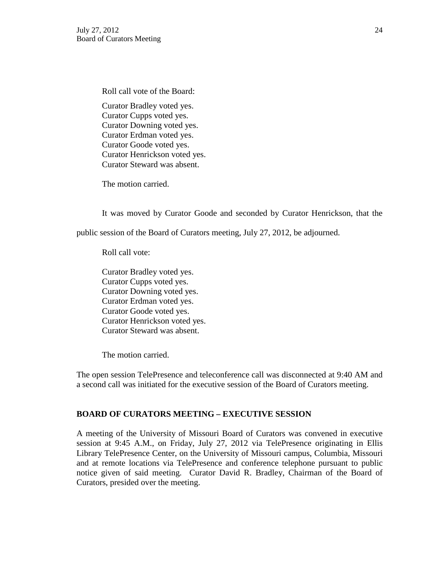Roll call vote of the Board:

Curator Bradley voted yes. Curator Cupps voted yes. Curator Downing voted yes. Curator Erdman voted yes. Curator Goode voted yes. Curator Henrickson voted yes. Curator Steward was absent.

The motion carried.

It was moved by Curator Goode and seconded by Curator Henrickson, that the

public session of the Board of Curators meeting, July 27, 2012, be adjourned.

Roll call vote:

Curator Bradley voted yes. Curator Cupps voted yes. Curator Downing voted yes. Curator Erdman voted yes. Curator Goode voted yes. Curator Henrickson voted yes. Curator Steward was absent.

The motion carried.

The open session TelePresence and teleconference call was disconnected at 9:40 AM and a second call was initiated for the executive session of the Board of Curators meeting.

## **BOARD OF CURATORS MEETING – EXECUTIVE SESSION**

A meeting of the University of Missouri Board of Curators was convened in executive session at 9:45 A.M., on Friday, July 27, 2012 via TelePresence originating in Ellis Library TelePresence Center, on the University of Missouri campus, Columbia, Missouri and at remote locations via TelePresence and conference telephone pursuant to public notice given of said meeting. Curator David R. Bradley, Chairman of the Board of Curators, presided over the meeting.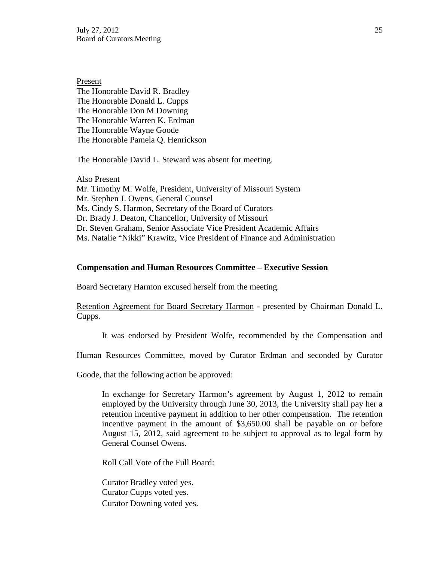Present The Honorable David R. Bradley The Honorable Donald L. Cupps The Honorable Don M Downing The Honorable Warren K. Erdman The Honorable Wayne Goode The Honorable Pamela Q. Henrickson

The Honorable David L. Steward was absent for meeting.

Also Present Mr. Timothy M. Wolfe, President, University of Missouri System Mr. Stephen J. Owens, General Counsel Ms. Cindy S. Harmon, Secretary of the Board of Curators Dr. Brady J. Deaton, Chancellor, University of Missouri Dr. Steven Graham, Senior Associate Vice President Academic Affairs Ms. Natalie "Nikki" Krawitz, Vice President of Finance and Administration

### **Compensation and Human Resources Committee – Executive Session**

Board Secretary Harmon excused herself from the meeting.

Retention Agreement for Board Secretary Harmon - presented by Chairman Donald L. Cupps.

It was endorsed by President Wolfe, recommended by the Compensation and

Human Resources Committee, moved by Curator Erdman and seconded by Curator

Goode, that the following action be approved:

In exchange for Secretary Harmon's agreement by August 1, 2012 to remain employed by the University through June 30, 2013, the University shall pay her a retention incentive payment in addition to her other compensation. The retention incentive payment in the amount of \$3,650.00 shall be payable on or before August 15, 2012, said agreement to be subject to approval as to legal form by General Counsel Owens.

Roll Call Vote of the Full Board:

Curator Bradley voted yes. Curator Cupps voted yes. Curator Downing voted yes.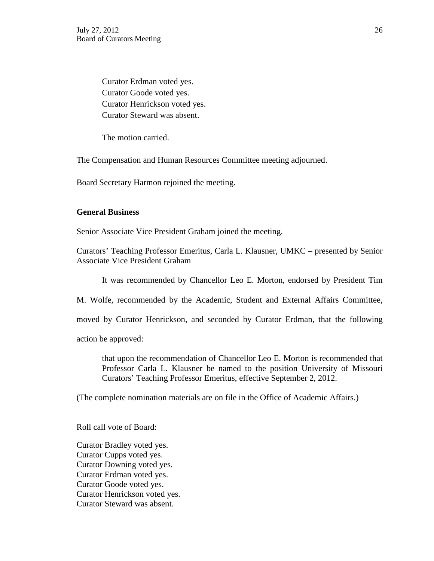Curator Erdman voted yes. Curator Goode voted yes. Curator Henrickson voted yes. Curator Steward was absent.

The motion carried.

The Compensation and Human Resources Committee meeting adjourned.

Board Secretary Harmon rejoined the meeting.

### **General Business**

Senior Associate Vice President Graham joined the meeting.

Curators' Teaching Professor Emeritus, Carla L. Klausner, UMKC – presented by Senior Associate Vice President Graham

It was recommended by Chancellor Leo E. Morton, endorsed by President Tim

M. Wolfe, recommended by the Academic, Student and External Affairs Committee,

moved by Curator Henrickson, and seconded by Curator Erdman, that the following

action be approved:

that upon the recommendation of Chancellor Leo E. Morton is recommended that Professor Carla L. Klausner be named to the position University of Missouri Curators' Teaching Professor Emeritus, effective September 2, 2012.

(The complete nomination materials are on file in the Office of Academic Affairs.)

Roll call vote of Board:

Curator Bradley voted yes. Curator Cupps voted yes. Curator Downing voted yes. Curator Erdman voted yes. Curator Goode voted yes. Curator Henrickson voted yes. Curator Steward was absent.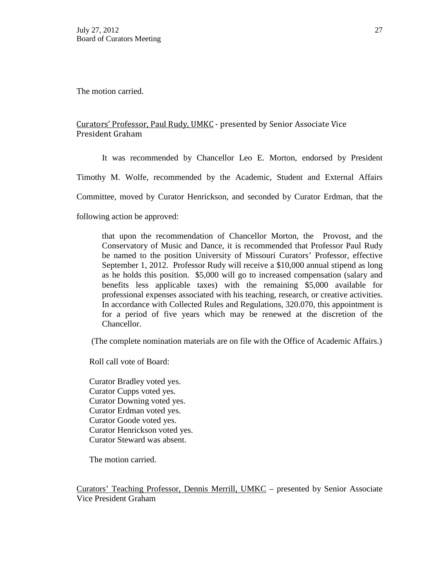The motion carried.

# Curators' Professor, Paul Rudy, UMKC - presented by Senior Associate Vice President Graham

It was recommended by Chancellor Leo E. Morton, endorsed by President

Timothy M. Wolfe, recommended by the Academic, Student and External Affairs

Committee, moved by Curator Henrickson, and seconded by Curator Erdman, that the

following action be approved:

that upon the recommendation of Chancellor Morton, the Provost, and the Conservatory of Music and Dance, it is recommended that Professor Paul Rudy be named to the position University of Missouri Curators' Professor, effective September 1, 2012. Professor Rudy will receive a \$10,000 annual stipend as long as he holds this position. \$5,000 will go to increased compensation (salary and benefits less applicable taxes) with the remaining \$5,000 available for professional expenses associated with his teaching, research, or creative activities. In accordance with Collected Rules and Regulations, 320.070, this appointment is for a period of five years which may be renewed at the discretion of the Chancellor.

(The complete nomination materials are on file with the Office of Academic Affairs.)

Roll call vote of Board:

Curator Bradley voted yes. Curator Cupps voted yes. Curator Downing voted yes. Curator Erdman voted yes. Curator Goode voted yes. Curator Henrickson voted yes. Curator Steward was absent.

The motion carried.

Curators' Teaching Professor, Dennis Merrill, UMKC – presented by Senior Associate Vice President Graham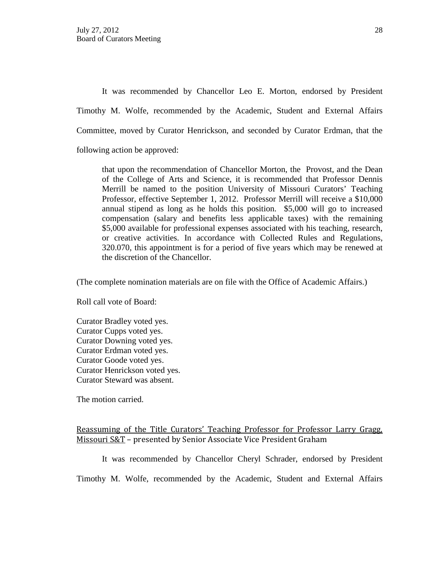It was recommended by Chancellor Leo E. Morton, endorsed by President Timothy M. Wolfe, recommended by the Academic, Student and External Affairs Committee, moved by Curator Henrickson, and seconded by Curator Erdman, that the following action be approved:

that upon the recommendation of Chancellor Morton, the Provost, and the Dean of the College of Arts and Science, it is recommended that Professor Dennis Merrill be named to the position University of Missouri Curators' Teaching Professor, effective September 1, 2012. Professor Merrill will receive a \$10,000 annual stipend as long as he holds this position. \$5,000 will go to increased compensation (salary and benefits less applicable taxes) with the remaining \$5,000 available for professional expenses associated with his teaching, research, or creative activities. In accordance with Collected Rules and Regulations, 320.070, this appointment is for a period of five years which may be renewed at the discretion of the Chancellor.

(The complete nomination materials are on file with the Office of Academic Affairs.)

Roll call vote of Board:

Curator Bradley voted yes. Curator Cupps voted yes. Curator Downing voted yes. Curator Erdman voted yes. Curator Goode voted yes. Curator Henrickson voted yes. Curator Steward was absent.

The motion carried.

Reassuming of the Title Curators' Teaching Professor for Professor Larry Gragg, Missouri S&T – presented by Senior Associate Vice President Graham

It was recommended by Chancellor Cheryl Schrader, endorsed by President

Timothy M. Wolfe, recommended by the Academic, Student and External Affairs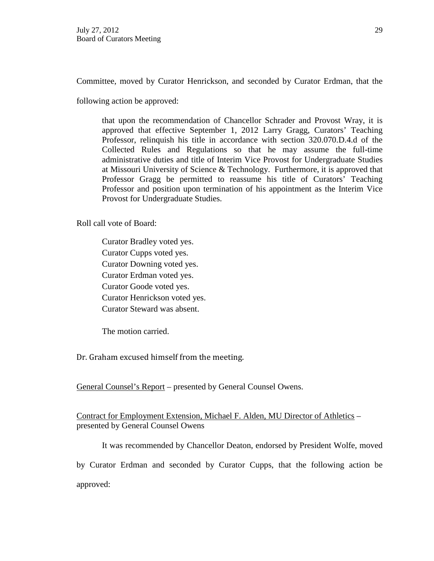Committee, moved by Curator Henrickson, and seconded by Curator Erdman, that the

following action be approved:

that upon the recommendation of Chancellor Schrader and Provost Wray, it is approved that effective September 1, 2012 Larry Gragg, Curators' Teaching Professor, relinquish his title in accordance with section 320.070.D.4.d of the Collected Rules and Regulations so that he may assume the full-time administrative duties and title of Interim Vice Provost for Undergraduate Studies at Missouri University of Science & Technology. Furthermore, it is approved that Professor Gragg be permitted to reassume his title of Curators' Teaching Professor and position upon termination of his appointment as the Interim Vice Provost for Undergraduate Studies.

Roll call vote of Board:

Curator Bradley voted yes. Curator Cupps voted yes. Curator Downing voted yes. Curator Erdman voted yes. Curator Goode voted yes. Curator Henrickson voted yes. Curator Steward was absent.

The motion carried.

Dr. Graham excused himself from the meeting.

General Counsel's Report – presented by General Counsel Owens.

Contract for Employment Extension, Michael F. Alden, MU Director of Athletics – presented by General Counsel Owens

It was recommended by Chancellor Deaton, endorsed by President Wolfe, moved by Curator Erdman and seconded by Curator Cupps, that the following action be

approved: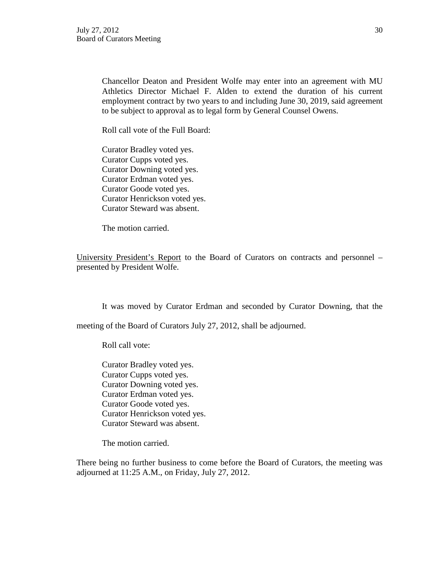Chancellor Deaton and President Wolfe may enter into an agreement with MU Athletics Director Michael F. Alden to extend the duration of his current employment contract by two years to and including June 30, 2019, said agreement to be subject to approval as to legal form by General Counsel Owens.

Roll call vote of the Full Board:

Curator Bradley voted yes. Curator Cupps voted yes. Curator Downing voted yes. Curator Erdman voted yes. Curator Goode voted yes. Curator Henrickson voted yes. Curator Steward was absent.

The motion carried.

University President's Report to the Board of Curators on contracts and personnel – presented by President Wolfe.

It was moved by Curator Erdman and seconded by Curator Downing, that the

meeting of the Board of Curators July 27, 2012, shall be adjourned.

Roll call vote:

Curator Bradley voted yes. Curator Cupps voted yes. Curator Downing voted yes. Curator Erdman voted yes. Curator Goode voted yes. Curator Henrickson voted yes. Curator Steward was absent.

The motion carried.

There being no further business to come before the Board of Curators, the meeting was adjourned at 11:25 A.M., on Friday, July 27, 2012.